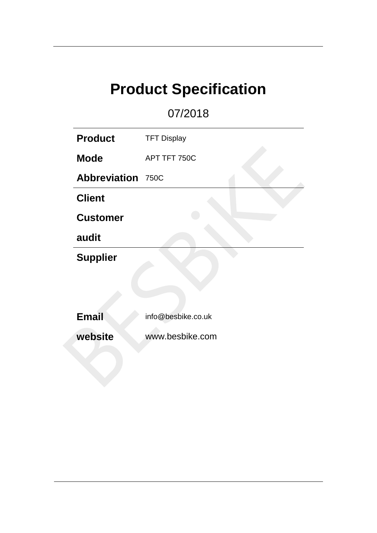# **Product Specification**

07/2018

| <b>Product</b>           | <b>TFT Display</b> |
|--------------------------|--------------------|
| <b>Mode</b>              | APT TFT 750C       |
| <b>Abbreviation 750C</b> |                    |
| <b>Client</b>            |                    |
| <b>Customer</b>          |                    |
| audit                    |                    |
| <b>Supplier</b>          |                    |
|                          |                    |
|                          |                    |
| <b>Email</b>             | info@besbike.co.uk |
| website                  | www.besbike.com    |
|                          |                    |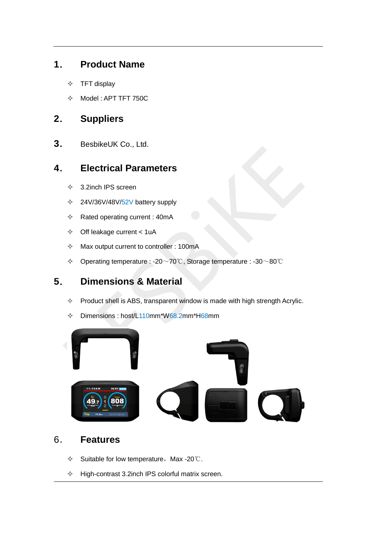### **1**. **Product Name**

- $\div$  TFT display
- $\div$  Model : APT TFT 750C

## **2**. **Suppliers**

**3**. BesbikeUK Co., Ltd.

### **4**. **Electrical Parameters**

- $\div$  3.2inch IPS screen
- $\div$  24V/36V/48V/52V battery supply
- $\Leftrightarrow$  Rated operating current : 40mA
- $\div$  Off leakage current < 1uA
- $\Diamond$  Max output current to controller : 100mA
- Operating temperature : -20~70℃, Storage temperature : -30~80℃

# **5**. **Dimensions & Material**

- $\Diamond$  Product shell is ABS, transparent window is made with high strength Acrylic.
- $\div$  Dimensions : host/L110mm\*W68.2mm\*H68mm



### 6. **Features**

- $\div$  Suitable for low temperature, Max -20℃.
- $\Diamond$  High-contrast 3.2inch IPS colorful matrix screen.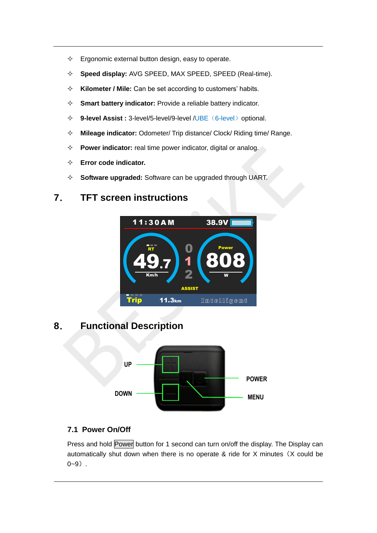- $\Diamond$  Ergonomic external button design, easy to operate.
- **Speed display:** AVG SPEED, MAX SPEED, SPEED (Real-time).
- **Kilometer / Mile:** Can be set according to customers' habits.
- **Smart battery indicator:** Provide a reliable battery indicator.
- **→ 9-level Assist :** 3-level/5-level/9-level /UBE (6-level) optional.
- **Mileage indicator:** Odometer/ Trip distance/ Clock/ Riding time/ Range.
- **Power indicator:** real time power indicator, digital or analog.
- **Error code indicator.**
- **Software upgraded:** Software can be upgraded through UART.

### **7**. **TFT screen instructions**



# **8**. **Functional Description**



#### **7.1 Power On/Off**

Press and hold Power button for 1 second can turn on/off the display. The Display can automatically shut down when there is no operate & ride for X minutes (X could be  $0 - 9$ ).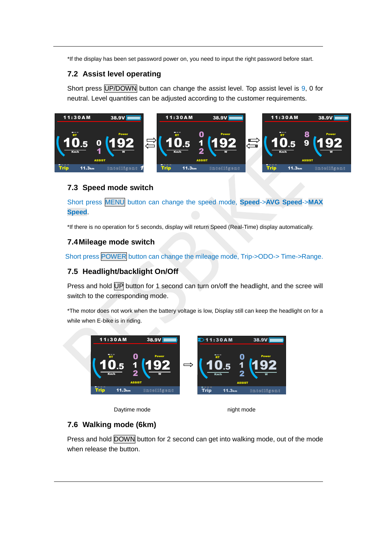\*If the display has been set password power on, you need to input the right password before start.

#### **7.2 Assist level operating**

Short press UP/DOWN button can change the assist level. Top assist level is 9, 0 for neutral. Level quantities can be adjusted according to the customer requirements.



#### **7.3 Speed mode switch**

Short press MENU button can change the speed mode, **Speed**->**AVG Speed**->**MAX Speed**.

\*If there is no operation for 5 seconds, display will return Speed (Real-Time) display automatically.

#### **7.4Mileage mode switch**

Short press POWER button can change the mileage mode, Trip->ODO-> Time->Range.

#### **7.5 Headlight/backlight On/Off**

Press and hold UP button for 1 second can turn on/off the headlight, and the scree will switch to the corresponding mode.

\*The motor does not work when the battery voltage is low, Display still can keep the headlight on for a while when E-bike is in riding.



**Daytime mode** night mode

#### **7.6 Walking mode (6km)**

Press and hold DOWN button for 2 second can get into walking mode, out of the mode when release the button.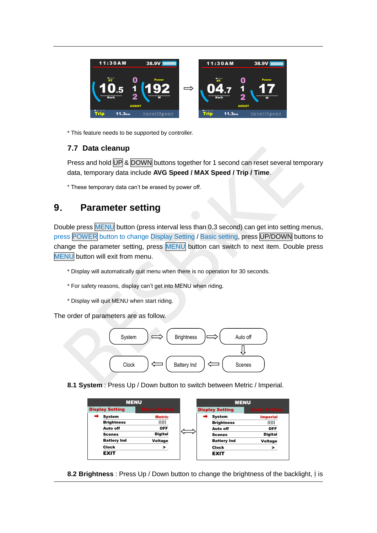

\* This feature needs to be supported by controller.

#### **7.7 Data cleanup**

Press and hold UP & DOWN buttons together for 1 second can reset several temporary data, temporary data include **AVG Speed / MAX Speed / Trip / Time**.

\* These temporary data can't be erased by power off.

## **9**. **Parameter setting**

Double press MENU button (press interval less than 0.3 second) can get into setting menus, press POWER button to change Display Setting / Basic setting, press UP/DOWN buttons to change the parameter setting, press MENU button can switch to next item. Double press MENU button will exit from menu.

- \* Display will automatically quit menu when there is no operation for 30 seconds.
- \* For safety reasons, display can't get into MENU when riding.
- \* Display will quit MENU when start riding.

The order of parameters are as follow.



**8.1 System** : Press Up / Down button to switch between Metric / Imperial.

| <b>MENU</b>            |                      |  | <b>MENU</b>            |                      |
|------------------------|----------------------|--|------------------------|----------------------|
| <b>Display Setting</b> | <b>Basic Setting</b> |  | <b>Display Setting</b> | <b>Basic Setting</b> |
| System                 | <b>Metric</b>        |  | <b>System</b>          | <b>Imperial</b>      |
| <b>Brightness</b>      | ШШ                   |  | <b>Brightness</b>      | ШШ                   |
| Auto off               | <b>OFF</b>           |  | Auto off               | <b>OFF</b>           |
| <b>Scenes</b>          | <b>Digital</b>       |  | <b>Scenes</b>          | <b>Digital</b>       |
| <b>Battery Ind</b>     | Voltage              |  | <b>Battery Ind</b>     | Voltage              |
| Clock                  | >                    |  | Clock                  | >                    |
| <b>EXIT</b>            |                      |  | <b>EXIT</b>            |                      |

**8.2 Brightness** : Press Up / Down button to change the brightness of the backlight, ׀ is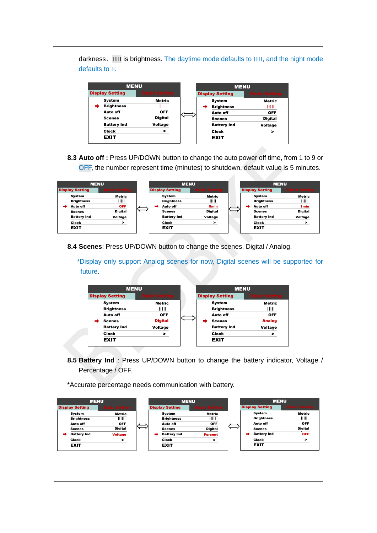darkness,׀׀׀׀׀ is brightness. The daytime mode defaults to ׀׀׀׀׀, and the night mode defaults to ׀׀.

| <b>MENU</b>            |                      | <b>MENU</b> |                        |                      |
|------------------------|----------------------|-------------|------------------------|----------------------|
| <b>Display Setting</b> | <b>Basic Setting</b> |             | <b>Display Setting</b> | <b>Basic Setting</b> |
| System                 | <b>Metric</b>        |             | System                 | <b>Metric</b>        |
| <b>Brightness</b>      |                      | ➡           | <b>Brightness</b>      | ШШ                   |
| Auto off               | <b>OFF</b>           |             | Auto off               | <b>OFF</b>           |
| <b>Scenes</b>          | <b>Digital</b>       |             | <b>Scenes</b>          | <b>Digital</b>       |
| <b>Battery Ind</b>     | Voltage              |             | <b>Battery Ind</b>     | <b>Voltage</b>       |
| Clock                  | >                    |             | Clock                  | >                    |
| <b>EXIT</b>            |                      |             | <b>EXIT</b>            |                      |

**8.3 Auto off :** Press UP/DOWN button to change the auto power off time, from 1 to 9 or OFF, the number represent time (minutes) to shutdown, default value is 5 minutes.

| <b>MENU</b>            |                  |   |                        | <b>MENU</b>      |  |                        | <b>MENU</b>      |
|------------------------|------------------|---|------------------------|------------------|--|------------------------|------------------|
| <b>Display Setting</b> | <b>sic Setti</b> |   | <b>Display Setting</b> | sic Sett         |  | <b>Display Setting</b> | sic Setti        |
| System                 | Metric           |   | System                 | Metric           |  | System                 | Metric           |
| <b>Brightness</b>      | ШШ               |   | <b>Brightness</b>      | 11111            |  | <b>Brightness</b>      | $\frac{1}{2}$    |
| Auto off               | <b>OFF</b>       | - | Auto off               | 9 <sub>min</sub> |  | Auto off               | 1 <sub>min</sub> |
| <b>Scenes</b>          | <b>Digital</b>   |   | <b>Scenes</b>          | <b>Digital</b>   |  | <b>Scenes</b>          | <b>Digital</b>   |
| <b>Battery Ind</b>     | Voltage          |   | <b>Battery Ind</b>     | Voltage          |  | <b>Battery Ind</b>     | Voltage          |
| <b>Clock</b>           |                  |   | Clock                  |                  |  | Clock                  |                  |
| <b>EXIT</b>            |                  |   | <b>EXIT</b>            |                  |  | <b>EXIT</b>            |                  |

**8.4 Scenes**: Press UP/DOWN button to change the scenes, Digital / Analog.

 \*Display only support Analog scenes for now, Digital scenes will be supported for future.



**8.5 Battery Ind** : Press UP/DOWN button to change the battery indicator, Voltage / Percentage / OFF.

\*Accurate percentage needs communication with battery.

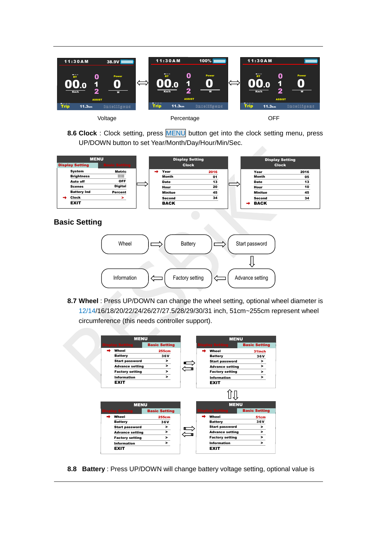

**8.6 Clock** : Clock setting, press MENU button get into the clock setting menu, press UP/DOWN button to set Year/Month/Day/Hour/Min/Sec.

| <b>MENU</b><br><b>Display Setting</b> | ic Settin      |  |               | <b>Display Setting</b><br><b>Clock</b> |   | <b>Display Setting</b><br><b>Clock</b> |      |
|---------------------------------------|----------------|--|---------------|----------------------------------------|---|----------------------------------------|------|
| System                                | Metric         |  | Year          | 2016                                   |   | Year                                   | 2016 |
| <b>Brightness</b>                     | IIIII          |  | Month         | 01                                     |   | Month                                  | 05   |
| Auto off                              | <b>OFF</b>     |  | <b>Date</b>   | 13                                     |   | Date                                   | 13   |
| <b>Scenes</b>                         | <b>Digital</b> |  | Hour          | 20                                     |   | Hour                                   | 10   |
| <b>Battery Ind</b>                    | Percent        |  | Minitue       | 45                                     |   | Minitue                                | 45   |
| Clock                                 |                |  | <b>Second</b> | 34                                     |   | <b>Second</b>                          | 34   |
| <b>EXIT</b>                           |                |  | <b>BACK</b>   |                                        | → | <b>BACK</b>                            |      |

**Basic Setting** 



**8.7 Wheel** : Press UP/DOWN can change the wheel setting, optional wheel diameter is 12/14/16/18/20/22/24/26/27/27.5/28/29/30/31 inch, 51cm~255cm represent wheel circumference (this needs controller support).



**8.8 Battery** : Press UP/DOWN will change battery voltage setting, optional value is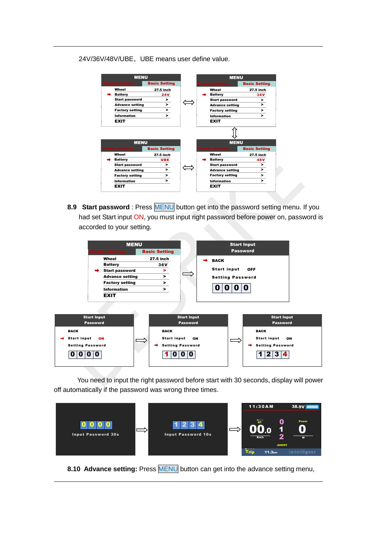#### 24V/36V/48V/UBE, UBE means user define value.

| <b>MENU</b>            |                      |  | <b>MENU</b>            |                      |
|------------------------|----------------------|--|------------------------|----------------------|
| play Setting           | <b>Basic Setting</b> |  | <b>Isplay Setting</b>  | <b>Basic Setting</b> |
| Wheel                  | 27.5 inch            |  | Wheel                  | 27.5 inch            |
| <b>Battery</b>         | <b>24V</b>           |  | <b>Battery</b>         | 36V                  |
| <b>Start password</b>  | >                    |  | <b>Start password</b>  | >                    |
| <b>Advance setting</b> | >                    |  | <b>Advance setting</b> | $\geq$               |
| <b>Factory setting</b> | >                    |  | <b>Factory setting</b> | >                    |
| <b>Information</b>     | >                    |  | Information            | >                    |
|                        |                      |  | <b>EXIT</b>            |                      |
| <b>EXIT</b>            |                      |  |                        |                      |
| <b>MENU</b>            |                      |  | <b>MENU</b>            |                      |
| play Setting           | <b>Basic Setting</b> |  | <b>isplay Setting</b>  | <b>Basic Setting</b> |
| Wheel                  | 27.5 inch            |  | Wheel                  | 27.5 inch            |
| <b>Battery</b>         | UBE                  |  | <b>Battery</b>         | 48 V                 |
| <b>Start password</b>  | >                    |  | <b>Start password</b>  | >                    |
| <b>Advance setting</b> | $\geq$               |  | <b>Advance setting</b> | $\geq$               |
| <b>Factory setting</b> | >                    |  | <b>Factory setting</b> | >                    |
| Information            | >                    |  | <b>Information</b>     | >                    |

**8.9 Start password** : Press MENU button get into the password setting menu. If you had set Start input ON, you must input right password before power on, password is accorded to your setting.



 You need to input the right password before start with 30 seconds, display will power off automatically if the password was wrong three times.



**8.10 Advance setting:** Press MENU button can get into the advance setting menu,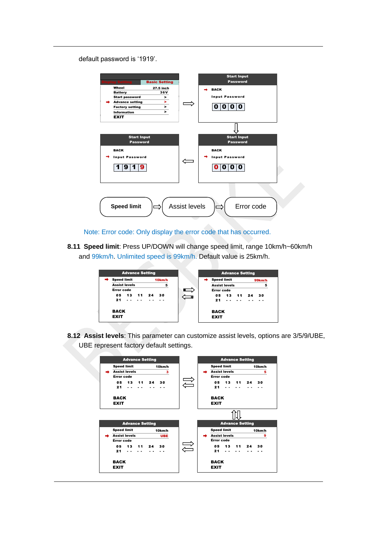default password is '1919'.



Note: Error code: Only display the error code that has occurred.

**8.11 Speed limit**: Press UP/DOWN will change speed limit, range 10km/h~60km/h and 99km/h. Unlimited speed is 99km/h. Default value is 25km/h.



**8.12 Assist levels**: This parameter can customize assist levels, options are 3/5/9/UBE, UBE represent factory default settings.

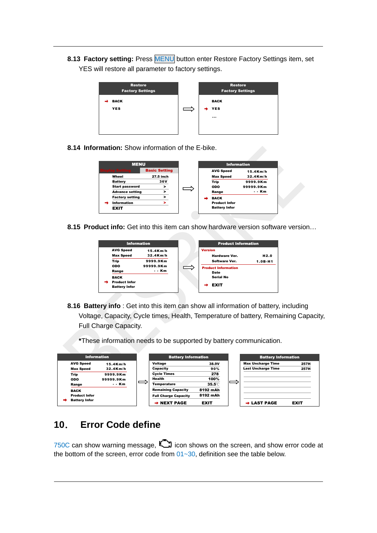**8.13 Factory setting: Press MENU** button enter Restore Factory Settings item, set YES will restore all parameter to factory settings.



**8.14 Information:** Show information of the E-bike.

| <b>MENU</b>            |                      |                      | <b>Information</b> |
|------------------------|----------------------|----------------------|--------------------|
| <b>Display Setting</b> | <b>Basic Setting</b> | <b>AVG Speed</b>     | $15.4$ Km/h        |
| Wheel                  | 27.5 inch            | <b>Max Speed</b>     | $32.4$ Km/h        |
| <b>Battery</b>         | 36V                  | Trip                 | 9999.9Km           |
| <b>Start password</b>  | >                    | ODO                  | 99999.9Km          |
| <b>Advance setting</b> | >                    | Range                | - - Km             |
| <b>Factory setting</b> | >                    | <b>BACK</b>          |                    |
| <b>Information</b>     |                      | <b>Product Infor</b> |                    |
| <b>EXIT</b>            |                      | <b>Battery Infor</b> |                    |

**8.15 Product info:** Get into this item can show hardware version software version…



**8.16 Battery info** : Get into this item can show all information of battery, including Voltage, Capacity, Cycle times, Health, Temperature of battery, Remaining Capacity, Full Charge Capacity.

**\***These information needs to be supported by battery communication.

| <b>Information</b>                                          |                               |   | <b>Battery Information</b>                                                          |                                     | <b>Battery Information</b>                            |              |
|-------------------------------------------------------------|-------------------------------|---|-------------------------------------------------------------------------------------|-------------------------------------|-------------------------------------------------------|--------------|
| <b>AVG Speed</b><br><b>Max Speed</b>                        | $15.4$ Km/h<br>$32.4$ Km/h    |   | Voltage<br>Capacity                                                                 | 38.9V<br>90%                        | <b>Max Uncharge Time</b><br><b>Last Uncharge Time</b> | 257H<br>257H |
| Trip<br>ODO<br>Range                                        | 9999.9Km<br>99999.9Km<br>--Km | ᆖ | <b>Cycle Times</b><br>Health<br>Temperature                                         | 278<br>100%<br>$35.5^{\circ}$       |                                                       |              |
| <b>BACK</b><br><b>Product Infor</b><br><b>Battery Infor</b> |                               |   | <b>Remaining Capacity</b><br><b>Full Charge Capacity</b><br>$\rightarrow$ NEXT PAGE | 8192 mAh<br>8192 mAh<br><b>EXIT</b> | $\rightarrow$ LAST PAGE                               | <b>EXIT</b>  |

## **10**. **Error Code define**

750C can show warning message,  $\Box$  icon shows on the screen, and show error code at the bottom of the screen, error code from  $01~30$ , definition see the table below.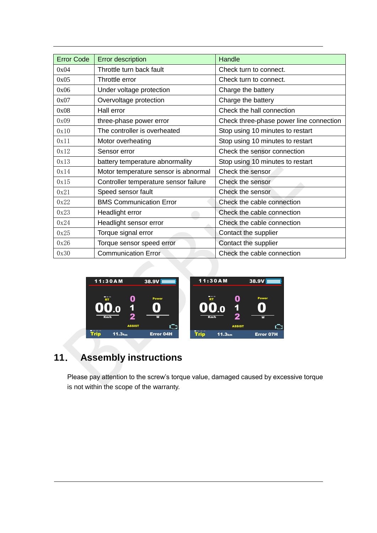| <b>Error Code</b> | <b>Error description</b>              | Handle                                  |
|-------------------|---------------------------------------|-----------------------------------------|
| 0x04              | Throttle turn back fault              | Check turn to connect.                  |
| 0x05              | Throttle error                        | Check turn to connect.                  |
| 0x06              | Under voltage protection              | Charge the battery                      |
| 0x07              | Overvoltage protection                | Charge the battery                      |
| 0x08              | Hall error                            | Check the hall connection               |
| 0x09              | three-phase power error               | Check three-phase power line connection |
| 0x10              | The controller is overheated          | Stop using 10 minutes to restart        |
| 0x11              | Motor overheating                     | Stop using 10 minutes to restart        |
| 0x12              | Sensor error                          | Check the sensor connection             |
| 0x13              | battery temperature abnormality       | Stop using 10 minutes to restart        |
| 0x14              | Motor temperature sensor is abnormal  | Check the sensor                        |
| 0x15              | Controller temperature sensor failure | Check the sensor                        |
| 0x21              | Speed sensor fault                    | Check the sensor                        |
| 0x22              | <b>BMS Communication Error</b>        | Check the cable connection              |
| 0x23              | Headlight error                       | Check the cable connection              |
| 0x24              | Headlight sensor error                | Check the cable connection              |
| 0x25              | Torque signal error                   | Contact the supplier                    |
| 0x26              | Torque sensor speed error             | Contact the supplier                    |
| 0x30              | <b>Communication Error</b>            | Check the cable connection              |



# **11**. **Assembly instructions**

Please pay attention to the screw's torque value, damaged caused by excessive torque is not within the scope of the warranty.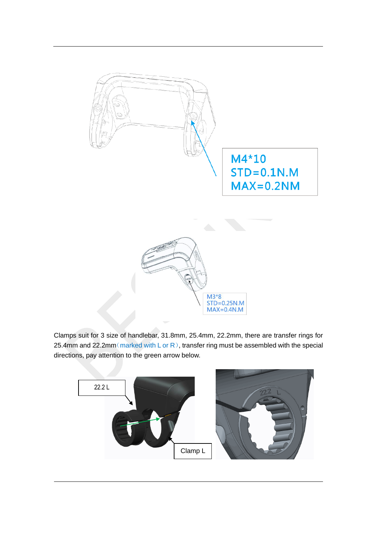

Clamps suit for 3 size of handlebar, 31.8mm, 25.4mm, 22.2mm, there are transfer rings for 25.4mm and 22.2mm (marked with L or R), transfer ring must be assembled with the special directions, pay attention to the green arrow below.